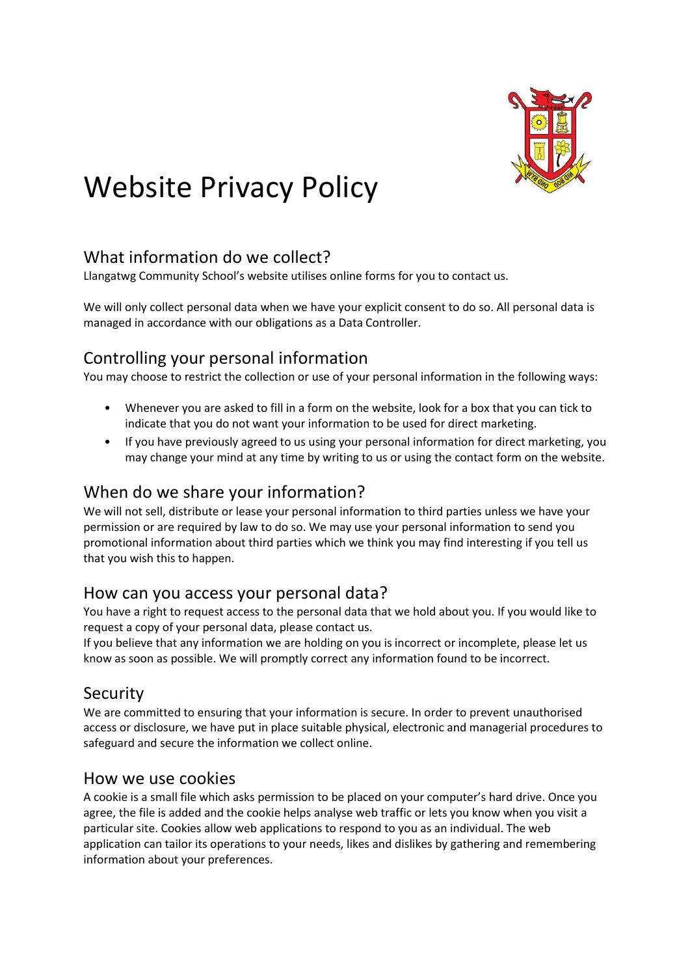

# Website Privacy Policy

## What information do we collect?

Llangatwg Community School's website utilises online forms for you to contact us.

We will only collect personal data when we have your explicit consent to do so. All personal data is managed in accordance with our obligations as a Data Controller.

## Controlling your personal information

You may choose to restrict the collection or use of your personal information in the following ways:

- Whenever you are asked to fill in a form on the website, look for a box that you can tick to indicate that you do not want your information to be used for direct marketing.
- If you have previously agreed to us using your personal information for direct marketing, you may change your mind at any time by writing to us or using the contact form on the website.

### When do we share your information?

We will not sell, distribute or lease your personal information to third parties unless we have your permission or are required by law to do so. We may use your personal information to send you promotional information about third parties which we think you may find interesting if you tell us that you wish this to happen.

#### How can you access your personal data?

You have a right to request access to the personal data that we hold about you. If you would like to request a copy of your personal data, please contact us.

If you believe that any information we are holding on you is incorrect or incomplete, please let us know as soon as possible. We will promptly correct any information found to be incorrect.

#### Security

We are committed to ensuring that your information is secure. In order to prevent unauthorised access or disclosure, we have put in place suitable physical, electronic and managerial procedures to safeguard and secure the information we collect online.

#### How we use cookies

A cookie is a small file which asks permission to be placed on your computer's hard drive. Once you agree, the file is added and the cookie helps analyse web traffic or lets you know when you visit a particular site. Cookies allow web applications to respond to you as an individual. The web application can tailor its operations to your needs, likes and dislikes by gathering and remembering information about your preferences.